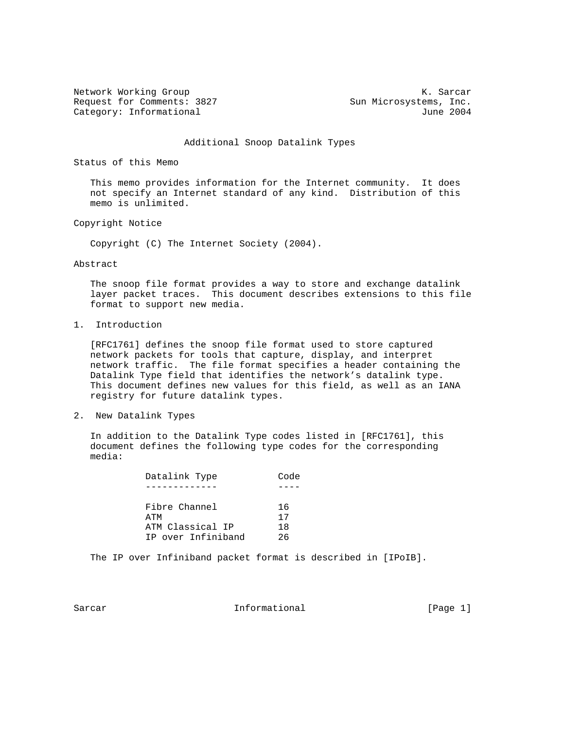Network Working Group and the set of the set of the Sarch M. Sarcar Request for Comments: 3827 Sun Microsystems, Inc. Category: Informational 3004

#### Additional Snoop Datalink Types

Status of this Memo

 This memo provides information for the Internet community. It does not specify an Internet standard of any kind. Distribution of this memo is unlimited.

Copyright Notice

Copyright (C) The Internet Society (2004).

Abstract

 The snoop file format provides a way to store and exchange datalink layer packet traces. This document describes extensions to this file format to support new media.

1. Introduction

 [RFC1761] defines the snoop file format used to store captured network packets for tools that capture, display, and interpret network traffic. The file format specifies a header containing the Datalink Type field that identifies the network's datalink type. This document defines new values for this field, as well as an IANA registry for future datalink types.

2. New Datalink Types

 In addition to the Datalink Type codes listed in [RFC1761], this document defines the following type codes for the corresponding media:

| Datalink Type      | Code |
|--------------------|------|
|                    |      |
| Fibre Channel      | 16   |
| ATM                | 17   |
| ATM Classical IP   | 18   |
| IP over Infiniband | 26   |

The IP over Infiniband packet format is described in [IPoIB].

Sarcar **Informational** Informational [Page 1]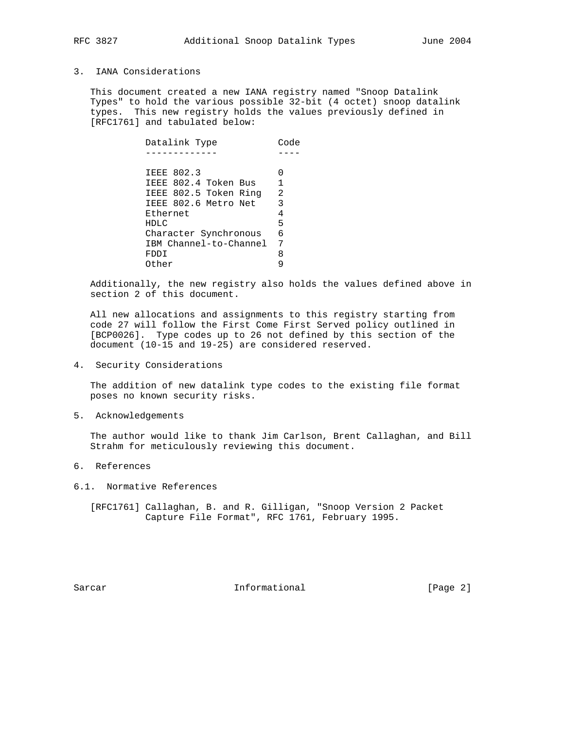# 3. IANA Considerations

 This document created a new IANA registry named "Snoop Datalink Types" to hold the various possible 32-bit (4 octet) snoop datalink types. This new registry holds the values previously defined in [RFC1761] and tabulated below:

| Datalink Type          | Code |
|------------------------|------|
|                        |      |
|                        |      |
| <b>IEEE 802.3</b>      |      |
| IEEE 802.4 Token Bus   |      |
| IEEE 802.5 Token Ring  | -2   |
| IEEE 802.6 Metro Net   | 3    |
| Ethernet               | 4    |
| HDLC                   | 5    |
| Character Synchronous  | 6    |
| IBM Channel-to-Channel | 7    |
| FDDI                   | 8    |
| Other                  |      |
|                        |      |

 Additionally, the new registry also holds the values defined above in section 2 of this document.

 All new allocations and assignments to this registry starting from code 27 will follow the First Come First Served policy outlined in [BCP0026]. Type codes up to 26 not defined by this section of the document (10-15 and 19-25) are considered reserved.

4. Security Considerations

 The addition of new datalink type codes to the existing file format poses no known security risks.

5. Acknowledgements

 The author would like to thank Jim Carlson, Brent Callaghan, and Bill Strahm for meticulously reviewing this document.

- 6. References
- 6.1. Normative References

 [RFC1761] Callaghan, B. and R. Gilligan, "Snoop Version 2 Packet Capture File Format", RFC 1761, February 1995.

Sarcar **Informational** Informational [Page 2]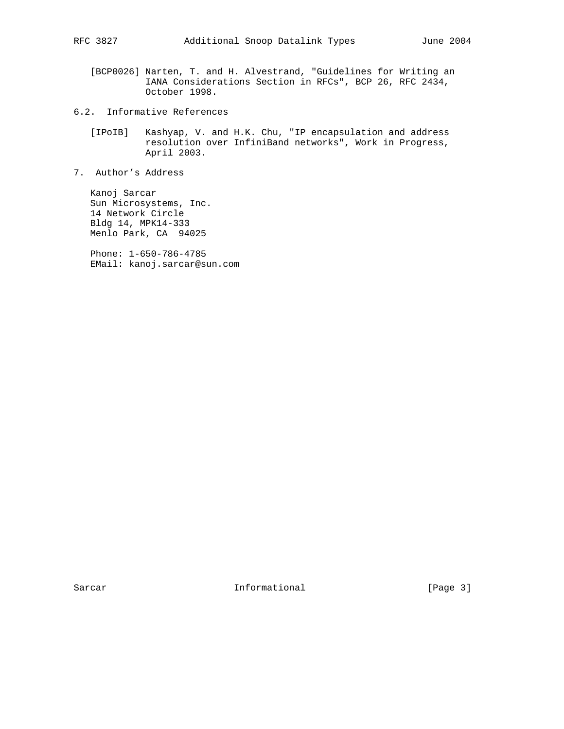- [BCP0026] Narten, T. and H. Alvestrand, "Guidelines for Writing an IANA Considerations Section in RFCs", BCP 26, RFC 2434, October 1998.
- 6.2. Informative References
	- [IPoIB] Kashyap, V. and H.K. Chu, "IP encapsulation and address resolution over InfiniBand networks", Work in Progress, April 2003.
- 7. Author's Address

 Kanoj Sarcar Sun Microsystems, Inc. 14 Network Circle Bldg 14, MPK14-333 Menlo Park, CA 94025

 Phone: 1-650-786-4785 EMail: kanoj.sarcar@sun.com

Sarcar Informational [Page 3]